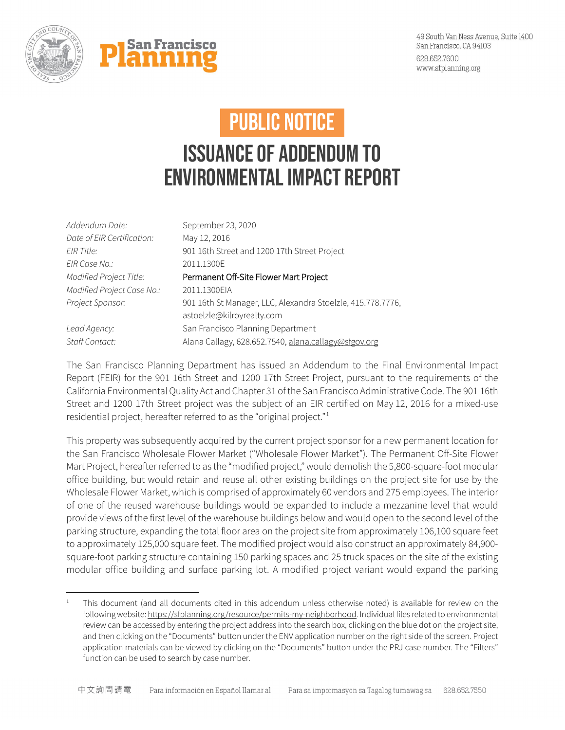



## PUBLIC NOTICE

## Issuance of Addendum to Environmental Impact Report

| Addendum Date:             | September 23, 2020                                          |
|----------------------------|-------------------------------------------------------------|
| Date of EIR Certification: | May 12, 2016                                                |
| <b>EIR Title:</b>          | 901 16th Street and 1200 17th Street Project                |
| EIR Case No.:              | 2011.1300E                                                  |
| Modified Project Title:    | Permanent Off-Site Flower Mart Project                      |
| Modified Project Case No.: | 2011.1300EIA                                                |
| Project Sponsor:           | 901 16th St Manager, LLC, Alexandra Stoelzle, 415.778.7776, |
|                            | astoelzle@kilroyrealty.com                                  |
| Lead Agency:               | San Francisco Planning Department                           |
| Staff Contact:             | Alana Callagy, 628.652.7540, alana.callagy@sfgov.org        |

The San Francisco Planning Department has issued an Addendum to the Final Environmental Impact Report (FEIR) for the 901 16th Street and 1200 17th Street Project, pursuant to the requirements of the California Environmental Quality Act and Chapter 31 of the San Francisco Administrative Code. The 901 16th Street and 1200 17th Street project was the subject of an EIR certified on May 12, 2016 for a mixed-use residential project, hereafter referred to as the "original project."[1](#page-0-0)

This property was subsequently acquired by the current project sponsor for a new permanent location for the San Francisco Wholesale Flower Market ("Wholesale Flower Market"). The Permanent Off-Site Flower Mart Project, hereafter referred to as the "modified project," would demolish the 5,800-square-foot modular office building, but would retain and reuse all other existing buildings on the project site for use by the Wholesale Flower Market, which is comprised of approximately 60 vendors and 275 employees. The interior of one of the reused warehouse buildings would be expanded to include a mezzanine level that would provide views of the first level of the warehouse buildings below and would open to the second level of the parking structure, expanding the total floor area on the project site from approximately 106,100 square feet to approximately 125,000 square feet. The modified project would also construct an approximately 84,900 square-foot parking structure containing 150 parking spaces and 25 truck spaces on the site of the existing modular office building and surface parking lot. A modified project variant would expand the parking

<span id="page-0-0"></span>This document (and all documents cited in this addendum unless otherwise noted) is available for review on the following website[: https://sfplanning.org/resource/permits-my-neighborhood.](https://sfplanning.org/resource/permits-my-neighborhood) Individual files related to environmental review can be accessed by entering the project address into the search box, clicking on the blue dot on the project site, and then clicking on the "Documents" button under the ENV application number on the right side of the screen. Project application materials can be viewed by clicking on the "Documents" button under the PRJ case number. The "Filters" function can be used to search by case number.